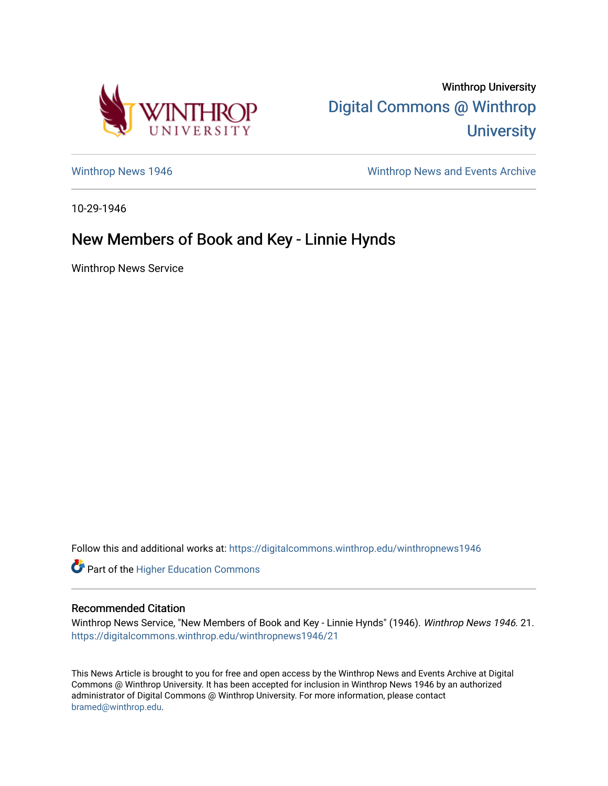

Winthrop University [Digital Commons @ Winthrop](https://digitalcommons.winthrop.edu/)  **University** 

[Winthrop News 1946](https://digitalcommons.winthrop.edu/winthropnews1946) Minthrop News and Events Archive

10-29-1946

## New Members of Book and Key - Linnie Hynds

Winthrop News Service

Follow this and additional works at: [https://digitalcommons.winthrop.edu/winthropnews1946](https://digitalcommons.winthrop.edu/winthropnews1946?utm_source=digitalcommons.winthrop.edu%2Fwinthropnews1946%2F21&utm_medium=PDF&utm_campaign=PDFCoverPages) 

**Part of the Higher Education Commons** 

## Recommended Citation

Winthrop News Service, "New Members of Book and Key - Linnie Hynds" (1946). Winthrop News 1946. 21. [https://digitalcommons.winthrop.edu/winthropnews1946/21](https://digitalcommons.winthrop.edu/winthropnews1946/21?utm_source=digitalcommons.winthrop.edu%2Fwinthropnews1946%2F21&utm_medium=PDF&utm_campaign=PDFCoverPages)

This News Article is brought to you for free and open access by the Winthrop News and Events Archive at Digital Commons @ Winthrop University. It has been accepted for inclusion in Winthrop News 1946 by an authorized administrator of Digital Commons @ Winthrop University. For more information, please contact [bramed@winthrop.edu.](mailto:bramed@winthrop.edu)